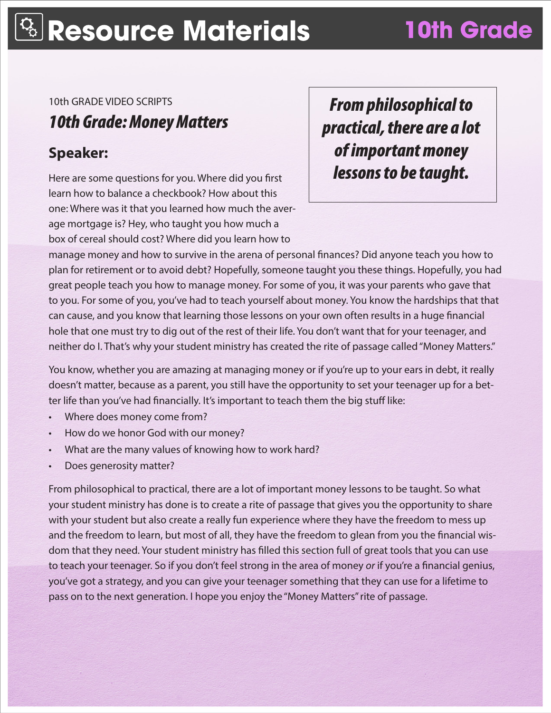10th GRADE VIDEO SCRIPTS

*10th Grade: Money Matters*

## **Speaker:**

Here are some questions for you. Where did you first learn how to balance a checkbook? How about this one: Where was it that you learned how much the average mortgage is? Hey, who taught you how much a box of cereal should cost? Where did you learn how to

*From philosophical to practical, there are a lot of important money lessons to be taught.* 

manage money and how to survive in the arena of personal finances? Did anyone teach you how to plan for retirement or to avoid debt? Hopefully, someone taught you these things. Hopefully, you had great people teach you how to manage money. For some of you, it was your parents who gave that to you. For some of you, you've had to teach yourself about money. You know the hardships that that can cause, and you know that learning those lessons on your own often results in a huge financial hole that one must try to dig out of the rest of their life. You don't want that for your teenager, and neither do I. That's why your student ministry has created the rite of passage called "Money Matters."

You know, whether you are amazing at managing money or if you're up to your ears in debt, it really doesn't matter, because as a parent, you still have the opportunity to set your teenager up for a better life than you've had financially. It's important to teach them the big stuff like:

- Where does money come from?
- How do we honor God with our money?
- What are the many values of knowing how to work hard?
- Does generosity matter?

From philosophical to practical, there are a lot of important money lessons to be taught. So what your student ministry has done is to create a rite of passage that gives you the opportunity to share with your student but also create a really fun experience where they have the freedom to mess up and the freedom to learn, but most of all, they have the freedom to glean from you the financial wisdom that they need. Your student ministry has filled this section full of great tools that you can use to teach your teenager. So if you don't feel strong in the area of money *or* if you're a financial genius, you've got a strategy, and you can give your teenager something that they can use for a lifetime to pass on to the next generation. I hope you enjoy the "Money Matters" rite of passage.